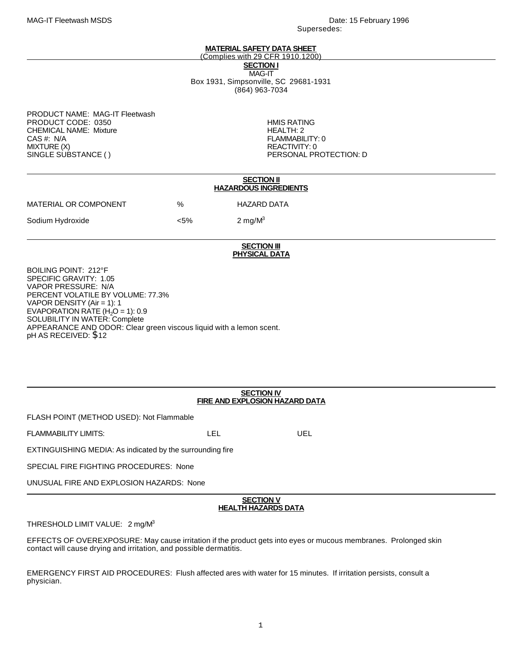## **MATERIAL SAFETY DATA SHEET**

(Complies with 29 CFR 1910.1200) **SECTION I** MAG-IT Box 1931, Simpsonville, SC 29681-1931 (864) 963-7034

PRODUCT NAME: MAG-IT Fleetwash PRODUCT CODE: 0350 **http://www.fileson.com/information**<br>CHEMICAL NAME: Mixture CHEMICAL NAME: Mixture<br>CAS #: N/A CAS #: N/A FLAMMABILITY: 0 SINGLE SUBSTANCE ()

REACTIVITY: 0<br>PERSONAL PROTECTION: D

|                       |         | <b>SECTION II</b><br><b>HAZARDOUS INGREDIENTS</b> |
|-----------------------|---------|---------------------------------------------------|
| MATERIAL OR COMPONENT | %       | HAZARD DATA                                       |
| Sodium Hydroxide      | $< 5\%$ | 2 mg/ $M^3$                                       |
|                       |         |                                                   |

# **SECTION III PHYSICAL DATA**

BOILING POINT: 212°F SPECIFIC GRAVITY: 1.05 VAPOR PRESSURE: N/A PERCENT VOLATILE BY VOLUME: 77.3% VAPOR DENSITY (Air = 1): 1 EVAPORATION RATE  $(H<sub>2</sub>O = 1)$ : 0.9 SOLUBILITY IN WATER: Complete APPEARANCE AND ODOR: Clear green viscous liquid with a lemon scent. pH AS RECEIVED: \$12

## **SECTION IV FIRE AND EXPLOSION HAZARD DATA**

FLASH POINT (METHOD USED): Not Flammable

FLAMMABILITY LIMITS: LEL UEL

EXTINGUISHING MEDIA: As indicated by the surrounding fire

SPECIAL FIRE FIGHTING PROCEDURES: None

UNUSUAL FIRE AND EXPLOSION HAZARDS: None

## **SECTION V HEALTH HAZARDS DATA**

THRESHOLD LIMIT VALUE: 2 mg/M<sup>3</sup>

EFFECTS OF OVEREXPOSURE: May cause irritation if the product gets into eyes or mucous membranes. Prolonged skin contact will cause drying and irritation, and possible dermatitis.

EMERGENCY FIRST AID PROCEDURES: Flush affected ares with water for 15 minutes. If irritation persists, consult a physician.